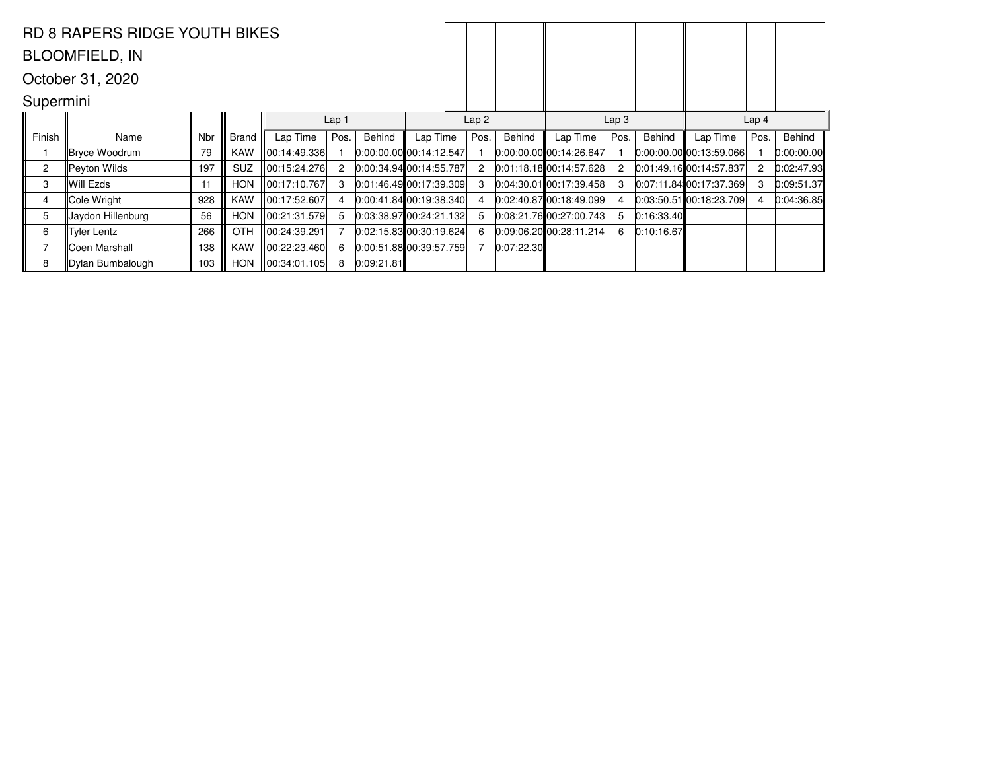|                                      | <b>RD 8 RAPERS RIDGE YOUTH BIKES</b> |     |              |               |      |            |                             |      |            |                             |                  |            |                             |      |            |  |
|--------------------------------------|--------------------------------------|-----|--------------|---------------|------|------------|-----------------------------|------|------------|-----------------------------|------------------|------------|-----------------------------|------|------------|--|
|                                      | <b>BLOOMFIELD, IN</b>                |     |              |               |      |            |                             |      |            |                             |                  |            |                             |      |            |  |
| October 31, 2020                     |                                      |     |              |               |      |            |                             |      |            |                             |                  |            |                             |      |            |  |
| Supermini                            |                                      |     |              |               |      |            |                             |      |            |                             |                  |            |                             |      |            |  |
| Lap <sub>1</sub><br>Lap <sub>2</sub> |                                      |     |              |               |      |            |                             |      |            |                             | Lap <sub>3</sub> |            | Lap <sub>4</sub>            |      |            |  |
| Finish                               | Name                                 | Nbr | <b>Brand</b> | Lap Time      | Pos. | Behind     | Lap Time                    | Pos. | Behind     | Lap Time                    | Pos.             | Behind     | Lap Time                    | Pos. | Behind     |  |
|                                      | Bryce Woodrum                        | 79  | <b>KAW</b>   | 00:14:49.336  |      |            | $0.00.00.00$ 00:14:12.547   |      |            | $[0:00:00.00]$ 00:14:26.647 |                  |            | 0:00:00.00 00:13:59.066     |      | 0:00:00.00 |  |
| $\overline{2}$                       | Peyton Wilds                         | 197 | <b>SUZ</b>   | 100:15:24.276 | 2    |            | $[0:00:34.94]$ 00:14:55.787 | 2    |            | 0:01:18.1800:14:57.628      | $\mathbf{2}$     |            | $[0:01:49.16]$ 00:14:57.837 | 2    | 0:02:47.93 |  |
| 3                                    | Will Ezds                            | 11  | <b>HON</b>   | 00:17:10.767  | 3    |            | 0:01:46.49 00:17:39.309     |      |            | $0:04:30.01$ 00:17:39.458   | 3                |            | 0:07:11.84 00:17:37.369     | 3    | 0:09:51.37 |  |
| 4                                    | Cole Wright                          | 928 | <b>KAW</b>   | ∥00:17:52.607 |      |            | $[0:00:41.84]$ 00:19:38.340 |      |            | 0.02:40.8700:18:49.099      | 4                |            | 0:03:50.51 00:18:23.709     |      | 0:04:36.85 |  |
| 5                                    | Jaydon Hillenburg                    | 56  | <b>HON</b>   | ∥00:21:31.579 | 5    |            | 0:03:38.97100:24:21.132     |      |            | 0.08:21.7600:27:00.743      | 5                | 0:16:33.40 |                             |      |            |  |
| 6                                    | Tyler Lentz                          | 266 | <b>OTH</b>   | ∥00:24:39.291 |      |            | 0:02:15.83 00:30:19.624     |      |            | $0:09:06.20$ 00:28:11.214   | 6                | 0:10:16.67 |                             |      |            |  |
|                                      | ∥Coen Marshall                       | 138 | <b>KAW</b>   | 00:22:23.460  | 6    |            | 0.00:51.88 00:39:57.759     |      | 0:07:22.30 |                             |                  |            |                             |      |            |  |
| 8                                    | Dylan Bumbalough                     | 103 | <b>HON</b>   | 00:34:01.105  | 8    | 0:09:21.81 |                             |      |            |                             |                  |            |                             |      |            |  |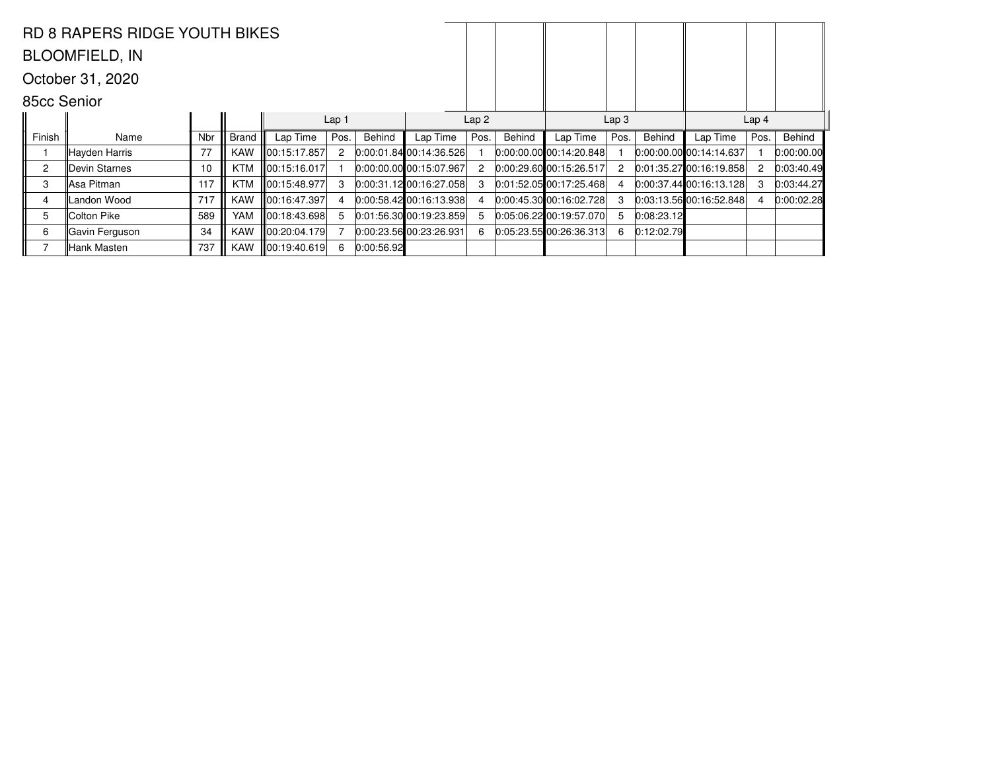|                | RD 8 RAPERS RIDGE YOUTH BIKES |     |            |                  |                  |            |                                 |                  |        |                                 |                      |            |                                 |      |            |
|----------------|-------------------------------|-----|------------|------------------|------------------|------------|---------------------------------|------------------|--------|---------------------------------|----------------------|------------|---------------------------------|------|------------|
|                | <b>BLOOMFIELD, IN</b>         |     |            |                  |                  |            |                                 |                  |        |                                 |                      |            |                                 |      |            |
|                | October 31, 2020              |     |            |                  |                  |            |                                 |                  |        |                                 |                      |            |                                 |      |            |
|                | 85cc Senior                   |     |            |                  |                  |            |                                 |                  |        |                                 |                      |            |                                 |      |            |
|                |                               |     |            |                  | Lap <sub>1</sub> |            |                                 | Lap <sub>2</sub> |        | Lap <sub>4</sub>                |                      |            |                                 |      |            |
| Finish         | Name                          | Nbr | Brand      | Lap Time         | Pos.             | Behind     | Lap Time                        | Pos.             | Behind | Lap Time                        | Pos.                 | Behind     | Lap Time                        | Pos. | Behind     |
|                | Hayden Harris                 | 77  | <b>KAW</b> | ∥00:15:17.857    | 2                |            | $[0:00:01.84]$ 00:14:36.526     |                  |        | $[0:00:00.00]$ $[00:14:20.848]$ |                      |            | 0:00:00.00 00:14:14.637         |      | 0:00:00.00 |
| $\overline{2}$ | <b>IDevin Starnes</b>         | 10  | <b>KTM</b> | 00:15:16.017     |                  |            | $[0:00:00.00]$ $[00:15:07.967]$ |                  |        | 0:00:29.60 00:15:26.517         | $\mathbf{2}^{\circ}$ |            | 0.01:35.2700:16:19.858          | 2    | 0:03:40.49 |
| 3              | ∥Asa Pitman                   | 117 | <b>KTM</b> | 00:15:48.977     | 3                |            | $[0:00:31.12]$ 00:16:27.058     |                  |        | $[0:01:52.05]$ 00:17:25.468     | 4                    |            | $[0.00:37.44]$ $[00:16:13.128]$ | 3    | 0:03:44.27 |
| 4              | Landon Wood                   | 717 | <b>KAW</b> | 00:16:47.397     |                  |            | $0:00:58.42$ 00:16:13.938       |                  |        | 0:00:45.30 00:16:02.728         | 3                    |            | 0.03:13.5600:16:52.848          | 4    | 0:00:02.28 |
| 5              | lColton Pike⊹                 | 589 | <b>YAM</b> | ∥00:18:43.698    | 5                |            | 0.01:56.30 00:19:23.859         |                  |        | $0.05:06.22$ 00:19:57.070       | 5                    | 0:08:23.12 |                                 |      |            |
| 6              | Gavin Ferguson                | 34  | <b>KAW</b> | lll00:20:04.179l |                  |            | 0.00:23.56 00:23:26.931         |                  |        | 0:05:23.55 00:26:36.313         | 6.                   | 0:12:02.79 |                                 |      |            |
|                | Hank Masten                   | 737 | <b>KAW</b> | 00:19:40.619     | 6                | 0:00:56.92 |                                 |                  |        |                                 |                      |            |                                 |      |            |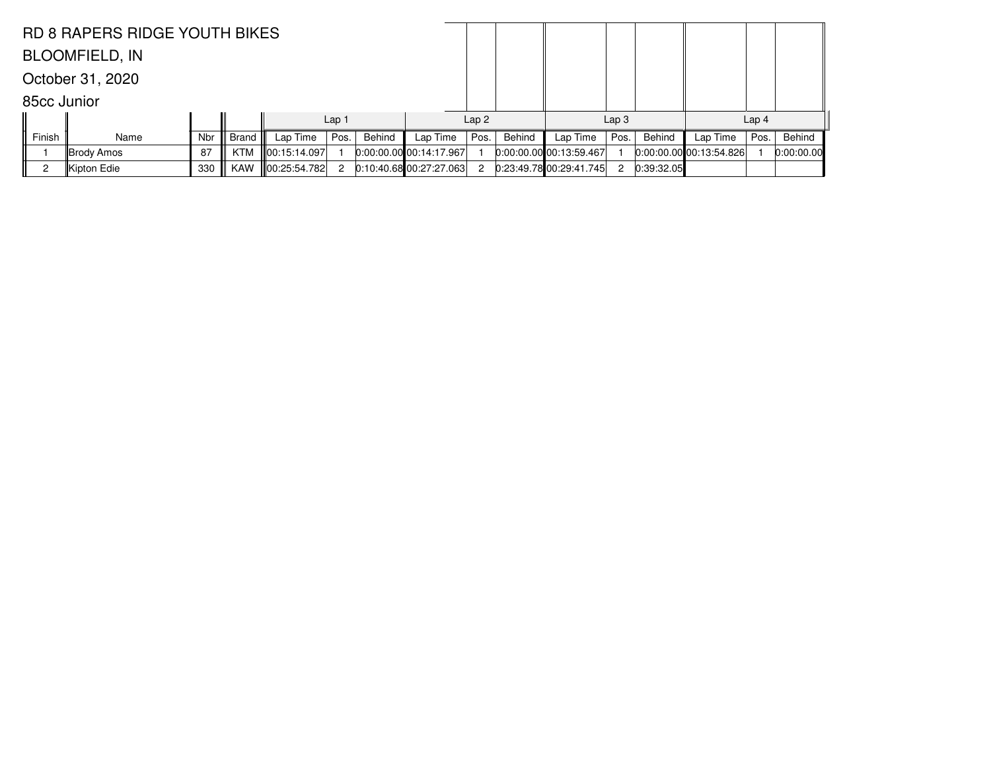| <b>RD 8 RAPERS RIDGE YOUTH BIKES</b> |                       |     |              |                    |                  |        |                           |                  |        |                             |                  |            |                           |                  |            |
|--------------------------------------|-----------------------|-----|--------------|--------------------|------------------|--------|---------------------------|------------------|--------|-----------------------------|------------------|------------|---------------------------|------------------|------------|
|                                      | <b>BLOOMFIELD, IN</b> |     |              |                    |                  |        |                           |                  |        |                             |                  |            |                           |                  |            |
|                                      | October 31, 2020      |     |              |                    |                  |        |                           |                  |        |                             |                  |            |                           |                  |            |
|                                      | 85cc Junior           |     |              |                    |                  |        |                           |                  |        |                             |                  |            |                           |                  |            |
|                                      |                       |     |              |                    | Lap <sub>1</sub> |        |                           | Lap <sub>2</sub> |        |                             | Lap <sub>3</sub> |            |                           | Lap <sub>4</sub> |            |
| Finish                               | Name                  | Nbr | <b>Brand</b> | Lap Time           | Pos.             | Behind | Lap Time                  | Pos.             | Behind | Lap Time                    | Pos.             | Behind     | Lap Time                  | Pos.             | Behind     |
|                                      | ∥Brody Amos           | 87  | <b>KTM</b>   | 00:15:14.097       |                  |        | $0.00:00.00$ 00:14:17.967 |                  |        | $[0:00:00.00]$ 00:13:59.467 |                  |            | $0:00:00.00$ 00:13:54.826 |                  | 0:00:00.00 |
|                                      | Kipton Edie           | 330 | <b>KAW</b>   | $\ 00:25:54.782\ $ | 2                |        | $0:10:40.68$ 00:27:27.063 | 2                |        | 0:23:49.7800:29:41.745      | 2                | 0:39:32.05 |                           |                  |            |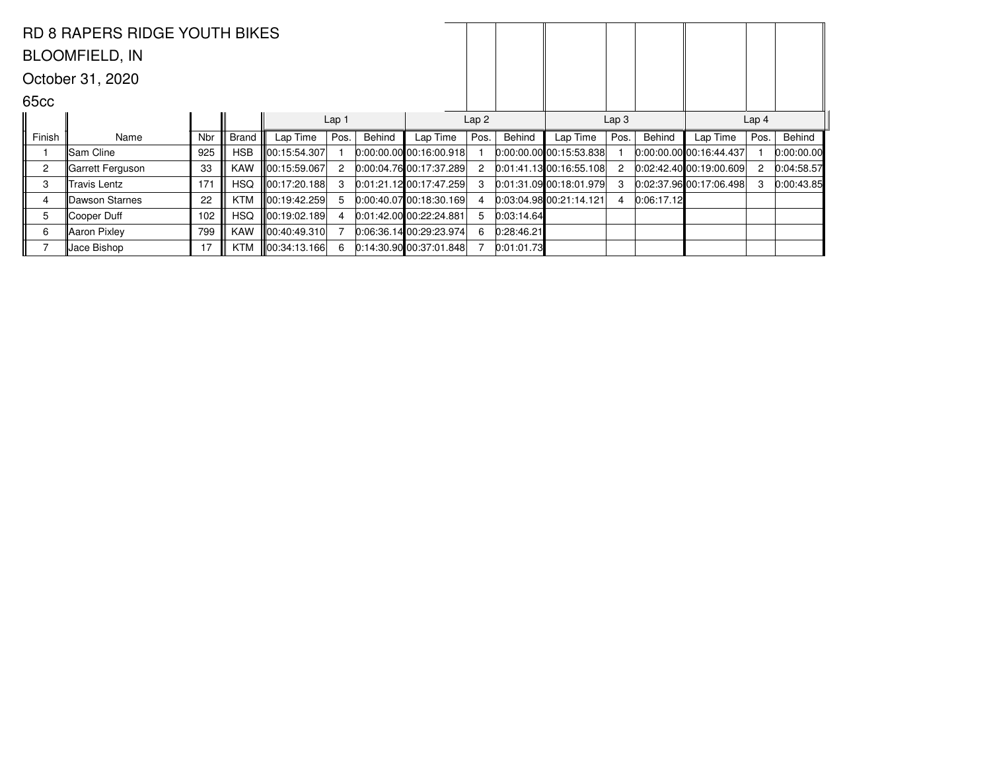|                       | <b>RD 8 RAPERS RIDGE YOUTH BIKES</b> |     |              |                  |                  |        |                                 |                                      |            |                                |                      |            |                           |                |            |  |
|-----------------------|--------------------------------------|-----|--------------|------------------|------------------|--------|---------------------------------|--------------------------------------|------------|--------------------------------|----------------------|------------|---------------------------|----------------|------------|--|
| <b>BLOOMFIELD, IN</b> |                                      |     |              |                  |                  |        |                                 |                                      |            |                                |                      |            |                           |                |            |  |
| October 31, 2020      |                                      |     |              |                  |                  |        |                                 |                                      |            |                                |                      |            |                           |                |            |  |
| 65 <sub>cc</sub>      |                                      |     |              |                  |                  |        |                                 |                                      |            |                                |                      |            |                           |                |            |  |
|                       |                                      |     |              |                  | Lap <sub>1</sub> |        |                                 | Lap <sub>2</sub><br>Lap <sub>3</sub> |            |                                |                      |            | Lap <sub>4</sub>          |                |            |  |
| Finish                | Name                                 | Nbr | <b>Brand</b> | Lap Time         | Pos.             | Behind | Lap Time                        | Pos.                                 | Behind     | Lap Time                       | Pos.                 | Behind     | Lap Time                  | Pos.           | Behind     |  |
|                       | Sam Cline                            | 925 | <b>HSB</b>   | 100:15:54.307    |                  |        | $[0:00:00.00]$ $[00:16:00.918]$ |                                      |            | $0:00:00.00$ 00:15:53.838      |                      |            | 0:00:00.00 00:16:44.437   |                | 0:00:00.00 |  |
| $\overline{2}$        | ∥Garrett Ferguson                    | 33  | KAW          | ∥00:15:59.067    | $\overline{2}$   |        | $[0.00:04.76]$ 00:17:37.289     | 2                                    |            | $[0.01.41.13]$ 00:16:55.108    | $\mathbf{2}^{\circ}$ |            | 0.02:42.40 00:19:00.609   | $\overline{c}$ | 0:04:58.57 |  |
| 3                     | Travis Lentz                         | 171 | <b>HSQ</b>   | ∥00:17:20.188    | 3                |        | $[0.01:21.12]$ 00:17:47.259     |                                      |            | $[0:01:31.09]$ $00:18:01.979]$ | 3                    |            | $0.02:37.96$ 00:17:06.498 | 3              | 0:00:43.85 |  |
| 4                     | Dawson Starnes                       | 22  | <b>KTM</b>   | ∥00:19:42.259    | 5                |        | $0:00:40.07$ 00:18:30.169       |                                      |            | 0.03.04.98 00.21.14.121        | 4                    | 0:06:17.12 |                           |                |            |  |
| 5                     | Cooper Duff                          | 102 | <b>HSQ</b>   | ∥00:19:02.189    | 4                |        | 0.01:42.0000:22:24.881          |                                      | 0:03:14.64 |                                |                      |            |                           |                |            |  |
| 6                     | Aaron Pixley                         | 799 | <b>KAW</b>   | lll00:40:49.310l |                  |        | 0.06:36.14100:29:23.974         | 6                                    | 0:28:46.21 |                                |                      |            |                           |                |            |  |
|                       | Jace Bishop                          | 17  | <b>KTM</b>   | 00:34:13.166     |                  |        | $[0.14.30.90]$ 00:37:01.848     |                                      | 0:01:01.73 |                                |                      |            |                           |                |            |  |